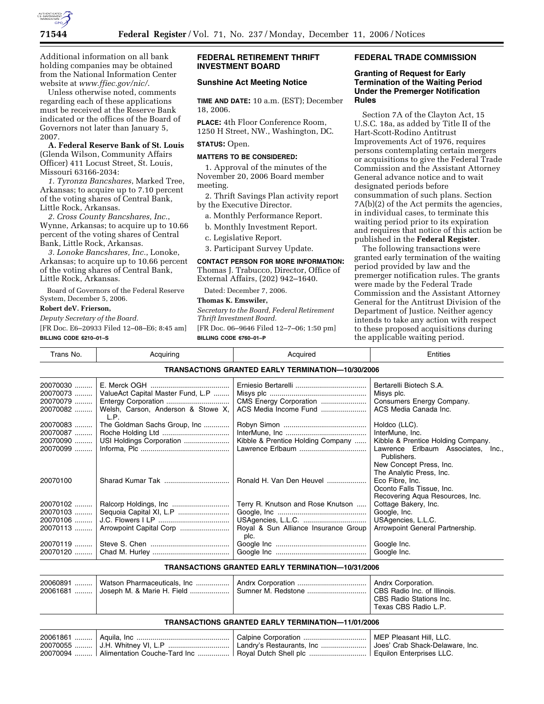

Additional information on all bank holding companies may be obtained from the National Information Center website at *www.ffiec.gov/nic/*.

Unless otherwise noted, comments regarding each of these applications must be received at the Reserve Bank indicated or the offices of the Board of Governors not later than January 5, 2007.

**A. Federal Reserve Bank of St. Louis**  (Glenda Wilson, Community Affairs Officer) 411 Locust Street, St. Louis, Missouri 63166-2034:

*1. Tyronza Bancshares*, Marked Tree, Arkansas; to acquire up to 7.10 percent of the voting shares of Central Bank, Little Rock, Arkansas.

*2. Cross County Bancshares, Inc.*, Wynne, Arkansas; to acquire up to 10.66 percent of the voting shares of Central Bank, Little Rock, Arkansas.

*3. Lonoke Bancshares, Inc.*, Lonoke, Arkansas; to acquire up to 10.66 percent of the voting shares of Central Bank, Little Rock, Arkansas.

Board of Governors of the Federal Reserve System, December 5, 2006.

**Robert deV. Frierson,** 

*Deputy Secretary of the Board.* 

[FR Doc. E6–20933 Filed 12–08–E6; 8:45 am] **BILLING CODE 6210–01–S** 

### **FEDERAL RETIREMENT THRIFT INVESTMENT BOARD**

# **Sunshine Act Meeting Notice**

**TIME AND DATE:** 10 a.m. (EST); December 18, 2006.

**PLACE:** 4th Floor Conference Room, 1250 H Street, NW., Washington, DC.

#### **STATUS:** Open.

#### **MATTERS TO BE CONSIDERED:**

1. Approval of the minutes of the November 20, 2006 Board member meeting.

2. Thrift Savings Plan activity report by the Executive Director.

- a. Monthly Performance Report.
- b. Monthly Investment Report.
- c. Legislative Report.

3. Participant Survey Update.

### **CONTACT PERSON FOR MORE INFORMATION:**  Thomas J. Trabucco, Director, Office of External Affairs, (202) 942–1640.

Dated: December 7, 2006.

### **Thomas K. Emswiler,**

*Secretary to the Board, Federal Retirement Thrift Investment Board.* 

[FR Doc. 06–9646 Filed 12–7–06; 1:50 pm] **BILLING CODE 6760–01–P** 

# **FEDERAL TRADE COMMISSION**

### **Granting of Request for Early Termination of the Waiting Period Under the Premerger Notification Rules**

Section 7A of the Clayton Act, 15 U.S.C. 18a, as added by Title II of the Hart-Scott-Rodino Antitrust Improvements Act of 1976, requires persons contemplating certain mergers or acquisitions to give the Federal Trade Commission and the Assistant Attorney General advance notice and to wait designated periods before consummation of such plans. Section 7A(b)(2) of the Act permits the agencies, in individual cases, to terminate this waiting period prior to its expiration and requires that notice of this action be published in the **Federal Register**.

The following transactions were granted early termination of the waiting period provided by law and the premerger notification rules. The grants were made by the Federal Trade Commission and the Assistant Attorney General for the Antitrust Division of the Department of Justice. Neither agency intends to take any action with respect to these proposed acquisitions during the applicable waiting period.

| Trans No.                                       | Acquiring                                                                                              | Acquired                                                                          | Entities                                                                                                                               |
|-------------------------------------------------|--------------------------------------------------------------------------------------------------------|-----------------------------------------------------------------------------------|----------------------------------------------------------------------------------------------------------------------------------------|
|                                                 |                                                                                                        | <b>TRANSACTIONS GRANTED EARLY TERMINATION-10/30/2006</b>                          |                                                                                                                                        |
| 20070030<br>20070073<br>20070079<br>20070082    | ValueAct Capital Master Fund, L.P<br>Entergy Corporation<br>Welsh, Carson, Anderson & Stowe X,<br>L.P. | CMS Energy Corporation<br>ACS Media Income Fund                                   | Bertarelli Biotech S.A.<br>Misys plc.<br>Consumers Energy Company.<br>ACS Media Canada Inc.                                            |
| 20070083<br>20070087   <br>20070090<br>20070099 | The Goldman Sachs Group, Inc<br>USI Holdings Corporation                                               | Kibble & Prentice Holding Company                                                 | Holdco (LLC).<br>InterMune, Inc.<br>Kibble & Prentice Holding Company.<br>Lawrence Erlbaum Associates, Inc.,<br>Publishers.            |
| 20070100                                        |                                                                                                        | Ronald H. Van Den Heuvel                                                          | New Concept Press, Inc.<br>The Analytic Press, Inc.<br>Eco Fibre, Inc.<br>Oconto Falls Tissue, Inc.<br>Recovering Aqua Resources, Inc. |
| 20070102<br>20070103<br>20070106<br>20070113    | Sequoia Capital XI, L.P                                                                                | Terry R. Knutson and Rose Knutson<br>Royal & Sun Alliance Insurance Group<br>plc. | Cottage Bakery, Inc.<br>Google, Inc.<br>USAgencies, L.L.C.<br>Arrowpoint General Partnership.                                          |
| 20070119<br>20070120                            |                                                                                                        |                                                                                   | Google Inc.<br>Google Inc.                                                                                                             |

#### **TRANSACTIONS GRANTED EARLY TERMINATION—10/31/2006**

|  |  |  | Andrx Corporation.<br>CBS Radio Inc. of Illinois.<br>CBS Radio Stations Inc.<br>Texas CBS Radio L.P. |
|--|--|--|------------------------------------------------------------------------------------------------------|
|--|--|--|------------------------------------------------------------------------------------------------------|

### **TRANSACTIONS GRANTED EARLY TERMINATION—11/01/2006**

| 20061861                                        | Aquila, Inc.                  | Calpine Corporation         | Pleasant Hill. LLC.<br><b>MEP</b> |
|-------------------------------------------------|-------------------------------|-----------------------------|-----------------------------------|
| 20070055<br>and the state of the first state of | $\mathsf{H}$ Whitney VI. I. P | ⊥ Landrv's Restaurants, Inc | ⊤ Joes' Crab Shack-Delaware. Inc. |
| 20070094                                        |                               | ⊟Roval Dutch Shell plc      | <b>Fauilon Enterprises LLC.</b>   |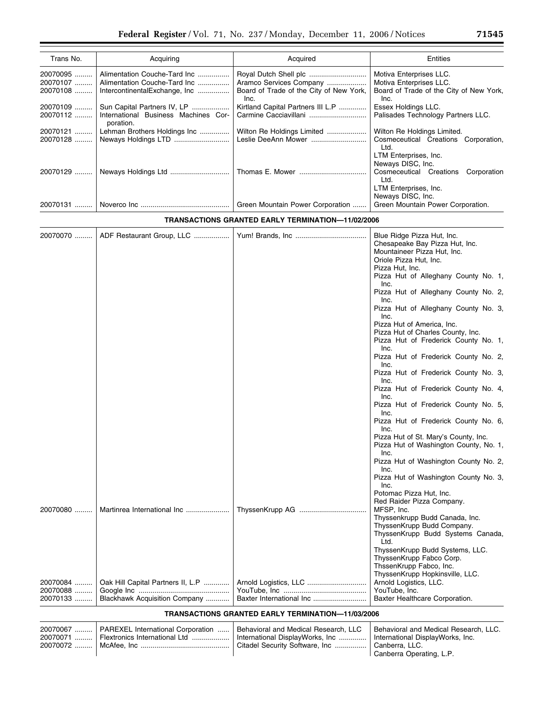| Trans No. | Acquiring                                         | Acquired                                        | Entities                                                                                                              |
|-----------|---------------------------------------------------|-------------------------------------------------|-----------------------------------------------------------------------------------------------------------------------|
| 20070095  | Alimentation Couche-Tard Inc                      |                                                 | Motiva Enterprises LLC.                                                                                               |
| 20070107  | Alimentation Couche-Tard Inc                      | Aramco Services Company                         | Motiva Enterprises LLC.                                                                                               |
| 20070108  | IntercontinentalExchange, Inc                     | Board of Trade of the City of New York,<br>Inc. | Board of Trade of the City of New York,<br>Inc.                                                                       |
| 20070109  | Sun Capital Partners IV, LP                       | Kirtland Capital Partners III L.P               | Essex Holdings LLC.                                                                                                   |
| 20070112  | International Business Machines Cor-<br>poration. |                                                 | Palisades Technology Partners LLC.                                                                                    |
| 20070121  | Lehman Brothers Holdings Inc                      | Wilton Re Holdings Limited                      | Wilton Re Holdings Limited.                                                                                           |
| 20070128  |                                                   | Leslie DeeAnn Mower                             | Cosmeceutical Creations Corporation,<br>Ltd.                                                                          |
| 20070129  |                                                   |                                                 | LTM Enterprises, Inc.<br>Neways DISC, Inc.<br>Cosmeceutical Creations<br>Corporation<br>Ltd.<br>LTM Enterprises, Inc. |
| 20070131  |                                                   | Green Mountain Power Corporation                | Neways DISC, Inc.<br>Green Mountain Power Corporation.                                                                |

# **TRANSACTIONS GRANTED EARLY TERMINATION—11/02/2006**

| 20070070 | ADF Restaurant Group, LLC         |                       | Blue Ridge Pizza Hut, Inc.<br>Chesapeake Bay Pizza Hut, Inc.<br>Mountaineer Pizza Hut, Inc. |
|----------|-----------------------------------|-----------------------|---------------------------------------------------------------------------------------------|
|          |                                   |                       | Oriole Pizza Hut, Inc.                                                                      |
|          |                                   |                       | Pizza Hut, Inc.                                                                             |
|          |                                   |                       | Pizza Hut of Alleghany County No. 1,<br>Inc.                                                |
|          |                                   |                       | Pizza Hut of Alleghany County No. 2,<br>Inc.                                                |
|          |                                   |                       | Pizza Hut of Alleghany County No. 3,<br>Inc.                                                |
|          |                                   |                       | Pizza Hut of America, Inc.                                                                  |
|          |                                   |                       | Pizza Hut of Charles County, Inc.                                                           |
|          |                                   |                       | Pizza Hut of Frederick County No. 1,<br>Inc.                                                |
|          |                                   |                       | Pizza Hut of Frederick County No. 2,<br>Inc.                                                |
|          |                                   |                       | Pizza Hut of Frederick County No. 3,<br>Inc.                                                |
|          |                                   |                       | Pizza Hut of Frederick County No. 4,<br>Inc.                                                |
|          |                                   |                       | Pizza Hut of Frederick County No. 5,<br>Inc.                                                |
|          |                                   |                       | Pizza Hut of Frederick County No. 6,<br>Inc.                                                |
|          |                                   |                       | Pizza Hut of St. Mary's County, Inc.<br>Pizza Hut of Washington County, No. 1,<br>Inc.      |
|          |                                   |                       | Pizza Hut of Washington County No. 2,<br>Inc.                                               |
|          |                                   |                       | Pizza Hut of Washington County No. 3,<br>Inc.                                               |
|          |                                   |                       | Potomac Pizza Hut, Inc.                                                                     |
|          |                                   |                       | Red Raider Pizza Company.                                                                   |
| 20070080 | Martinrea International Inc       |                       | MFSP, Inc.                                                                                  |
|          |                                   |                       | Thyssenkrupp Budd Canada, Inc.                                                              |
|          |                                   |                       | ThyssenKrupp Budd Company.                                                                  |
|          |                                   |                       | ThyssenKrupp Budd Systems Canada,<br>Ltd.                                                   |
|          |                                   |                       | ThyssenKrupp Budd Systems, LLC.                                                             |
|          |                                   |                       | ThyssenKrupp Fabco Corp.                                                                    |
|          |                                   |                       | ThssenKrupp Fabco, Inc.                                                                     |
|          |                                   |                       | ThyssenKrupp Hopkinsville, LLC.                                                             |
| 20070084 | Oak Hill Capital Partners II, L.P | Arnold Logistics, LLC | Arnold Logistics, LLC.                                                                      |
| 20070088 |                                   |                       | YouTube, Inc.                                                                               |
| 20070133 | Blackhawk Acquisition Company     |                       | Baxter Healthcare Corporation.                                                              |

# **TRANSACTIONS GRANTED EARLY TERMINATION—11/03/2006**

|  | 20070067    PAREXEL International Corporation    Behavioral and Medical Research, LLC<br>20070071    Flextronics International Ltd | International DisplayWorks, Inc    International DisplayWorks, Inc.<br>  Citadel Security Software, Inc | Behavioral and Medical Research, LLC.<br>Canberra. LLC.<br>Canberra Operating, L.P. |
|--|------------------------------------------------------------------------------------------------------------------------------------|---------------------------------------------------------------------------------------------------------|-------------------------------------------------------------------------------------|
|--|------------------------------------------------------------------------------------------------------------------------------------|---------------------------------------------------------------------------------------------------------|-------------------------------------------------------------------------------------|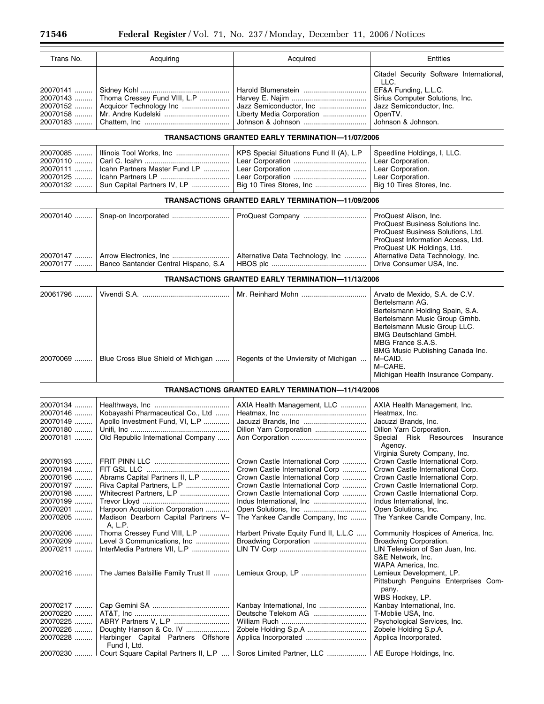| Trans No. | Acquiring                             | Acquired                                                 | Entities                                 |
|-----------|---------------------------------------|----------------------------------------------------------|------------------------------------------|
|           |                                       |                                                          | Citadel Security Software International, |
|           |                                       |                                                          | LLC.                                     |
| 20070141  |                                       | Harold Blumenstein                                       | EF&A Funding, L.L.C.                     |
| 20070143  | Thoma Cressey Fund VIII, L.P          |                                                          | Sirius Computer Solutions, Inc.          |
| 20070152  | Acquicor Technology Inc               | Jazz Semiconductor, Inc                                  | Jazz Semiconductor, Inc.                 |
| 20070158  |                                       | Liberty Media Corporation                                | OpenTV.                                  |
| 20070183  |                                       | Johnson & Johnson                                        | Johnson & Johnson.                       |
|           |                                       | <b>TRANSACTIONS GRANTED EARLY TERMINATION-11/07/2006</b> |                                          |
|           |                                       |                                                          |                                          |
| 20070085  | Illinois Tool Works, Inc              | KPS Special Situations Fund II (A), L.P                  | Speedline Holdings, I, LLC.              |
| 20070110  |                                       |                                                          | Lear Corporation.                        |
| 20070111  | Icahn Partners Master Fund LP         |                                                          | Lear Corporation.                        |
| 20070125  |                                       |                                                          | Lear Corporation.                        |
| 20070132  | Sun Capital Partners IV, LP           | Big 10 Tires Stores, Inc                                 | Big 10 Tires Stores, Inc.                |
|           |                                       | <b>TRANSACTIONS GRANTED EARLY TERMINATION-11/09/2006</b> |                                          |
| 20070140  |                                       | ProQuest Company                                         | ProQuest Alison, Inc.                    |
|           |                                       |                                                          | ProQuest Business Solutions Inc.         |
|           |                                       |                                                          | ProQuest Business Solutions, Ltd.        |
|           |                                       |                                                          | ProQuest Information Access, Ltd.        |
|           |                                       |                                                          | ProQuest UK Holdings, Ltd.               |
| 20070147  |                                       | Alternative Data Technology, Inc                         | Alternative Data Technology, Inc.        |
| 20070177  | Banco Santander Central Hispano, S.A  |                                                          | Drive Consumer USA, Inc.                 |
|           |                                       | <b>TRANSACTIONS GRANTED EARLY TERMINATION-11/13/2006</b> |                                          |
| 20061796  |                                       |                                                          | Arvato de Mexido, S.A. de C.V.           |
|           |                                       |                                                          | Bertelsmann AG.                          |
|           |                                       |                                                          | Bertelsmann Holding Spain, S.A.          |
|           |                                       |                                                          | Bertelsmann Music Group Gmhb.            |
|           |                                       |                                                          | Bertelsmann Music Group LLC.             |
|           |                                       |                                                          | <b>BMG Deutschland GmbH.</b>             |
|           |                                       |                                                          | MBG France S.A.S.                        |
|           |                                       |                                                          | BMG Music Publishing Canada Inc.         |
| 20070069  | Blue Cross Blue Shield of Michigan    | Regents of the Unviersity of Michigan                    | M-CAID.                                  |
|           |                                       |                                                          | M-CARE.                                  |
|           |                                       |                                                          | Michigan Health Insurance Company.       |
|           |                                       | <b>TRANSACTIONS GRANTED EARLY TERMINATION-11/14/2006</b> |                                          |
| 20070134  |                                       | AXIA Health Management, LLC                              | AXIA Health Management, Inc.             |
| 20070146  | Kobayashi Pharmaceutical Co., Ltd     |                                                          | Heatmax, Inc.                            |
|           |                                       |                                                          |                                          |
| 20070149  | Apollo Investment Fund, VI, L.P       | Jacuzzi Brands, Inc                                      | Jacuzzi Brands, Inc.                     |
| 20070180  |                                       | Dillon Yarn Corporation                                  | Dillon Yarn Corporation.                 |
| 20070181  | Old Republic International Company    |                                                          | Special Risk Resources<br>Insurance      |
|           |                                       |                                                          | Agency.                                  |
|           |                                       |                                                          | Virginia Surety Company, Inc.            |
| 20070193  |                                       | Crown Castle International Corp                          | Crown Castle International Corp.         |
| 20070194  |                                       | Crown Castle International Corp                          | Crown Castle International Corp.         |
| 20070196  | Abrams Capital Partners II, L.P       | Crown Castle International Corp                          | Crown Castle International Corp.         |
| 20070197  | Riva Capital Partners, L.P            | Crown Castle International Corp                          | Crown Castle International Corp.         |
| 20070198  | Whitecrest Partners, L.P              | Crown Castle International Corp                          | Crown Castle International Corp.         |
| 20070199  |                                       |                                                          | Indus International, Inc.                |
| 20070201  | Harpoon Acquisition Corporation       |                                                          | Open Solutions, Inc.                     |
| 20070205  | Madison Dearborn Capital Partners V-  | The Yankee Candle Company, Inc                           | The Yankee Candle Company, Inc.          |
| 20070206  | A, L.P.                               |                                                          |                                          |
|           | Thoma Cressey Fund VIII, L.P          | Harbert Private Equity Fund II, L.L.C                    | Community Hospices of America, Inc.      |
| 20070209  | Level 3 Communications, Inc           |                                                          | Broadwing Corporation.                   |
| 20070211  | InterMedia Partners VII, L.P          |                                                          | LIN Television of San Juan, Inc.         |
|           |                                       |                                                          | S&E Network, Inc.                        |
|           |                                       |                                                          | WAPA America, Inc.                       |
| 20070216  | The James Balsillie Family Trust II   |                                                          | Lemieux Development, LP.                 |
|           |                                       |                                                          | Pittsburgh Penguins Enterprises Com-     |
|           |                                       |                                                          | pany.                                    |
|           |                                       |                                                          | WBS Hockey, LP.                          |
| 20070217  |                                       |                                                          | Kanbay International, Inc.               |
|           |                                       | Deutsche Telekom AG                                      | T-Moblie USA, Inc.                       |
| 20070220  |                                       |                                                          |                                          |
| 20070225  |                                       |                                                          | Psychological Services, Inc.             |
| 20070226  | Doughty Hanson & Co. IV               |                                                          | Zobele Holding S.p.A.                    |
| 20070228  | Harbinger Capital Partners Offshore   |                                                          | Applica Incorporated.                    |
|           | Fund I, Ltd.                          |                                                          |                                          |
| 20070230  | Court Square Capital Partners II, L.P | Soros Limited Partner, LLC                               | AE Europe Holdings, Inc.                 |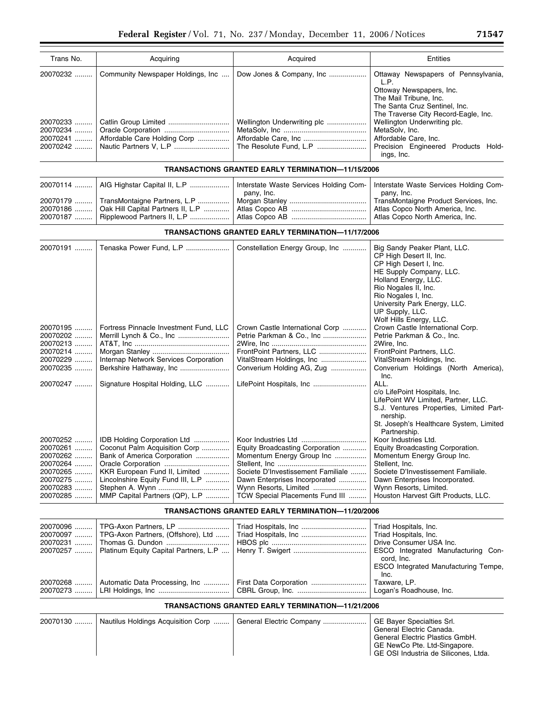| Trans No.                                    | Acquiring                         | Acquired                                              | Entities                                                                                                                                                                   |
|----------------------------------------------|-----------------------------------|-------------------------------------------------------|----------------------------------------------------------------------------------------------------------------------------------------------------------------------------|
| 20070232                                     | Community Newspaper Holdings, Inc |                                                       | Ottaway Newspapers of Pennsylvania,<br>L.P.<br>Ottoway Newspapers, Inc.<br>The Mail Tribune, Inc.<br>The Santa Cruz Sentinel, Inc.<br>The Traverse City Record-Eagle, Inc. |
| 20070233<br>20070234<br>20070241<br>20070242 | Affordable Care Holding Corp      | Wellington Underwriting plc<br>The Resolute Fund, L.P | Wellington Underwriting plc.<br>MetaSolv, Inc.<br>Affordable Care, Inc.<br>Precision Engineered Products Hold-<br>ings, Inc.                                               |

#### **TRANSACTIONS GRANTED EARLY TERMINATION—11/15/2006**

|          | 20070114    AIG Highstar Capital II, L.P      | Interstate Waste Services Holding Com-                             | Interstate Waste Services Holding Com- |
|----------|-----------------------------------------------|--------------------------------------------------------------------|----------------------------------------|
|          |                                               | pany, Inc.                                                         | pany. Inc.                             |
|          | 20070179    TransMontaigne Partners, L.P      |                                                                    | TransMontaigne Product Services, Inc.  |
|          | 20070186    Oak Hill Capital Partners II, L.P |                                                                    | Atlas Copco North America, Inc.        |
| 20070187 |                                               | Ripplewood Partners II, L.P …………………   Atlas Copco AB ………………………………… | Atlas Copco North America, Inc.        |

### **TRANSACTIONS GRANTED EARLY TERMINATION—11/17/2006**

| 20070191                                                                                     | Tenaska Power Fund, L.P                                                                                                                                                                             | Constellation Energy Group, Inc                                                                                                                                                                 | Big Sandy Peaker Plant, LLC.<br>CP High Desert II, Inc.<br>CP High Desert I, Inc.<br>HE Supply Company, LLC.<br>Holland Energy, LLC.<br>Rio Nogales II, Inc.<br>Rio Nogales I, Inc.<br>University Park Energy, LLC.<br>UP Supply, LLC.<br>Wolf Hills Energy, LLC. |
|----------------------------------------------------------------------------------------------|-----------------------------------------------------------------------------------------------------------------------------------------------------------------------------------------------------|-------------------------------------------------------------------------------------------------------------------------------------------------------------------------------------------------|-------------------------------------------------------------------------------------------------------------------------------------------------------------------------------------------------------------------------------------------------------------------|
| 20070195<br>20070202<br>20070213<br>20070214<br>20070229<br>20070235<br>20070247             | Fortress Pinnacle Investment Fund, LLC<br>Internap Network Services Corporation<br>Signature Hospital Holding, LLC                                                                                  | Crown Castle International Corp<br>FrontPoint Partners, LLC<br>VitalStream Holdings, Inc<br>Converium Holding AG, Zug                                                                           | Crown Castle International Corp.<br>Petrie Parkman & Co., Inc.<br>2Wire, Inc.<br>FrontPoint Partners, LLC.<br>VitalStream Holdings, Inc.<br>Converium Holdings (North America),<br>Inc.<br>ALL.                                                                   |
|                                                                                              |                                                                                                                                                                                                     |                                                                                                                                                                                                 | c/o LifePoint Hospitals, Inc.<br>LifePoint WV Limited, Partner, LLC.<br>S.J. Ventures Properties, Limited Part-<br>nership.<br>St. Joseph's Healthcare System, Limited<br>Partnership.                                                                            |
| 20070252<br>20070261<br>20070262<br>20070264<br>20070265<br>20070275<br>20070283<br>20070285 | IDB Holding Corporation Ltd<br>Coconut Palm Acquisition Corp<br>Bank of America Corporation<br>KKR European Fund II, Limited<br>Lincolnshire Equity Fund III, L.P<br>MMP Capital Partners (QP), L.P | Equity Broadcasting Corporation<br>Momentum Energy Group Inc<br>Societe D'Investissement Familiale<br>Dawn Enterprises Incorporated<br>Wynn Resorts, Limited<br>TCW Special Placements Fund III | Koor Industries Ltd.<br>Equity Broadcasting Corporation.<br>Momentum Energy Group Inc.<br>Stellent, Inc.<br>Societe D'Investissement Familiale.<br>Dawn Enterprises Incorporated.<br>Wynn Resorts, Limited.<br>Houston Harvest Gift Products, LLC.                |

### **TRANSACTIONS GRANTED EARLY TERMINATION—11/20/2006**

| 20070097    TPG-Axon Partners, (Offshore), Ltd<br>20070257    Platinum Equity Capital Partners, L.P | Triad Hospitals, Inc | Triad Hospitals, Inc.<br>Triad Hospitals, Inc.<br>Drive Consumer USA Inc.<br>ESCO Integrated Manufacturing Con-<br>cord. Inc. |
|-----------------------------------------------------------------------------------------------------|----------------------|-------------------------------------------------------------------------------------------------------------------------------|
| 20070268    Automatic Data Processing, Inc                                                          |                      | ESCO Integrated Manufacturing Tempe,<br>Inc.<br>Taxware, LP.                                                                  |
|                                                                                                     |                      | Logan's Roadhouse, Inc.                                                                                                       |

# **TRANSACTIONS GRANTED EARLY TERMINATION—11/21/2006**

| 20070130    Nautilus Holdings Acquisition Corp | General Electric Company    GE Bayer Specialties Srl. | General Electric Canada.                                                                                |
|------------------------------------------------|-------------------------------------------------------|---------------------------------------------------------------------------------------------------------|
|                                                |                                                       | General Electric Plastics GmbH.<br>GE NewCo Pte. Ltd-Singapore.<br>GE OSI Industria de Silicones. Ltda. |

▀